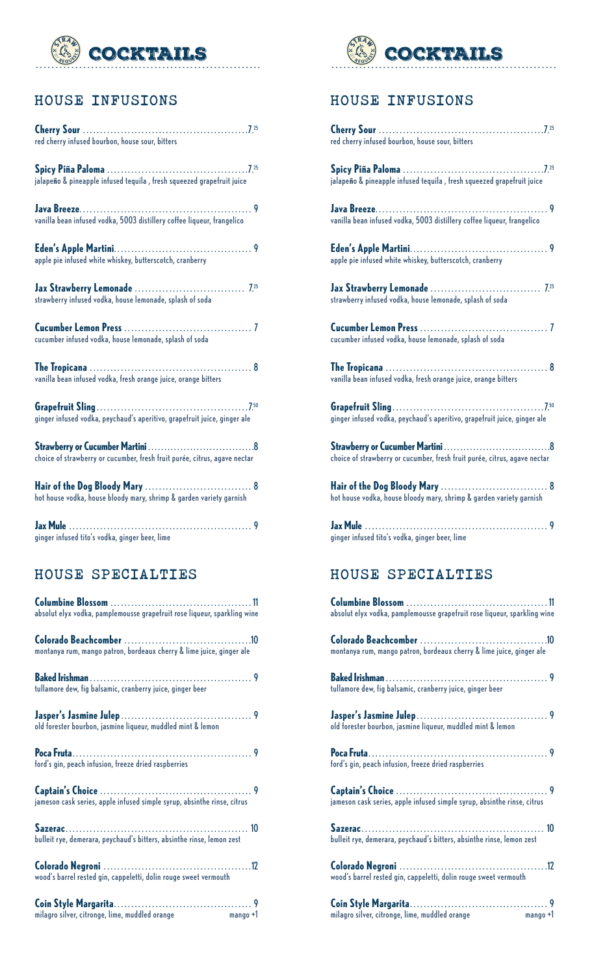

### HOUSE INFUSIONS

| red cherry infused bourbon, house sour, bitters                           |
|---------------------------------------------------------------------------|
| jalapeño & pineapple infused tequila, fresh squeezed grapefruit juice     |
| vanilla bean infused vodka, 5003 distillery coffee liqueur, frangelico    |
| apple pie infused white whiskey, butterscotch, cranberry                  |
| strawberry infused vodka, house lemonade, splash of soda                  |
| cucumber infused vodka, house lemonade, splash of soda                    |
| vanilla bean infused vodka, fresh orange juice, orange bitters            |
| ginger infused vodka, peychaud's aperitivo, grapefruit juice, ginger ale  |
| choice of strawberry or cucumber, fresh fruit purée, citrus, agave nectar |
| hot house vodka, house bloody mary, shrimp & garden variety garnish       |
|                                                                           |

# HOUSE SPECIALTIES

ginger infused tito's vodka, ginger beer, lime

| absolut elyx vodka, pamplemousse grapefruit rose liqueur, sparkling wine |
|--------------------------------------------------------------------------|
|                                                                          |
| montanya rum, mango patron, bordeaux cherry & lime juice, ginger ale     |
|                                                                          |
| tullamore dew, fig balsamic, cranberry juice, ginger beer                |
| old forester bourbon, jasmine liqueur, muddled mint & lemon              |
| ford's gin, peach infusion, freeze dried raspberries                     |
| jameson cask series, apple infused simple syrup, absinthe rinse, citrus  |
| bulleit rye, demerara, peychaud's bitters, absinthe rinse, lemon zest    |
| wood's barrel rested gin, cappeletti, dolin rouge sweet vermouth         |
| milagro silver, citronge, lime, muddled orange mango +1                  |



### HOUSE INFUSIONS

| red cherry infused bourbon, house sour, bitters                           |
|---------------------------------------------------------------------------|
| jalapeño & pineapple infused tequila , fresh squeezed grapefruit juice    |
| vanilla bean infused vodka, 5003 distillery coffee liqueur, frangelico    |
| apple pie infused white whiskey, butterscotch, cranberry                  |
| strawberry infused vodka, house lemonade, splash of soda                  |
| cucumber infused vodka, house lemonade, splash of soda                    |
| vanilla bean infused vodka, fresh orange juice, orange bitters            |
| ginger infused vodka, peychaud's aperitivo, grapefruit juice, ginger ale  |
| choice of strawberry or cucumber, fresh fruit purée, citrus, agave nectar |
| hot house vodka, house bloody mary, shrimp & garden variety garnish       |
| ginger infused tito's vodka, ginger beer, lime                            |
| HOUSE SPECIALTIES                                                         |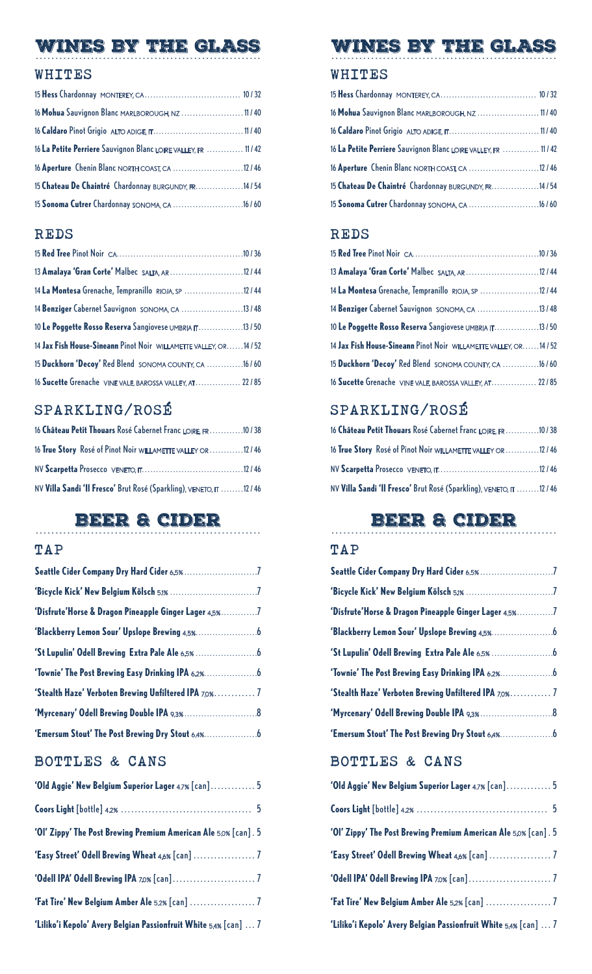# WINES BY THE GLASS

#### WHITES

| 16 Mohua Sauvignon Blanc MARLBOROUGH, NZ  11/40                 |  |
|-----------------------------------------------------------------|--|
|                                                                 |  |
| 16 La Petite Perriere Sauvignon Blanc LOIRE VALLEY, FR  11 / 42 |  |
| 16 Aperture Chenin Blanc NORTH COAST, CA 12 / 46                |  |
| 15 Chateau De Chaintré Chardonnay BURGUNDY, FR.  14 / 54        |  |
| 15 Sonoma Cutrer Chardonnay SONOMA, CA 16 / 60                  |  |

### REDS

| 13 Amalaya 'Gran Corte' Malbec SALTA, AR 12 / 44                     |
|----------------------------------------------------------------------|
| 14 La Montesa Grenache, Tempranillo RIOJA, SP 12 / 44                |
| 14 Benziger Cabernet Sauvignon SONOMA, CA 13 / 48                    |
| 10 Le Poggette Rosso Reserva Sangiovese UMBRIA IT13 / 50             |
| 14 Jax Fish House-Sineann Pinot Noir WILLAMETTE VALLEY, OR.  14 / 52 |
| 15 Duckhorn 'Decoy' Red Blend SONOMA COUNTY, CA  16 / 60             |
| 16 Sucette Grenache VINE VALE, BAROSSA VALLEY, AT 22 / 85            |

# SPARKLING/ROSÉ

| 16 Château Petit Thouars Rosé Cabernet Franc LOIRE, FR.  10 / 38   |  |
|--------------------------------------------------------------------|--|
| 16 True Story Rosé of Pinot Noir WILLAMETTE VALLEY OR  12 / 46     |  |
|                                                                    |  |
| NV Villa Sandi 'Il Fresco' Brut Rosé (Sparkling), VENETO, IT 12/46 |  |

# BEER & CIDER

### TAP

| 'Disfrute'Horse & Dragon Pineapple Ginger Lager 4.5%7 |  |
|-------------------------------------------------------|--|
|                                                       |  |
|                                                       |  |
|                                                       |  |
| 'Stealth Haze' Verboten Brewing Unfiltered IPA 7.0% 7 |  |
|                                                       |  |
|                                                       |  |

### BOTTLES & CANS

| 'Old Aggie' New Belgium Superior Lager 4.7% [can] 5              |
|------------------------------------------------------------------|
|                                                                  |
| 'Ol' Zippy' The Post Brewing Premium American Ale 5.0% [can]. 5  |
| 'Easy Street' Odell Brewing Wheat 4.6% [can]  7                  |
|                                                                  |
| 'Fat Tire' New Belgium Amber Ale 5.2% [can]  7                   |
| 'Liliko'i Kepolo' Avery Belgian Passionfruit White 5.4% [can]  7 |

### WINES BY THE GLASS

### WHITES

| 16 Mohua Sauvignon Blanc MARLBOROUGH, NZ  11/40                 |  |
|-----------------------------------------------------------------|--|
|                                                                 |  |
| 16 La Petite Perriere Sauvignon Blanc LOIRE VALLEY, FR  11 / 42 |  |
| 16 Aperture Chenin Blanc NORTH COAST, CA  12 / 46               |  |
| 15 Chateau De Chaintré Chardonnay BURGUNDY, FR.  14 / 54        |  |
| 15 Sonoma Cutrer Chardonnay SONOMA, CA  16 / 60                 |  |

### REDS

| 13 Amalaya 'Gran Corte' Malbec SALTA, AR  12 / 44                    |  |
|----------------------------------------------------------------------|--|
| 14 La Montesa Grenache, Tempranillo RIOJA, SP  12 / 44               |  |
| 14 Benziger Cabernet Sauvignon SONOMA, CA 13 / 48                    |  |
| 10 Le Poggette Rosso Reserva Sangiovese UMBRIA IT13/50               |  |
| 14 Jax Fish House-Sineann Pinot Noir WILLAMETTE VALLEY, OR.  14 / 52 |  |
| 15 Duckhorn 'Decoy' Red Blend SONOMA COUNTY, CA  16 / 60             |  |
| 16 Sucette Grenache VINE VALE, BAROSSA VALLEY, AT  22 / 85           |  |

# SPARKLING/ROSÉ

| 16 Château Petit Thouars Rosé Cabernet Franc LOIRE, FR 10 / 38              |  |
|-----------------------------------------------------------------------------|--|
| 16 True Story Rosé of Pinot Noir willamette valley or 12 / 46               |  |
|                                                                             |  |
| NV <b>Villa Sandi 'Il Fresco'</b> Brut Rosé (Sparkling), VENETO, IT 12 / 46 |  |

# BEER & CIDER

#### TAP

| 'Disfrute'Horse & Dragon Pineapple Ginger Lager 4.5%7 |  |
|-------------------------------------------------------|--|
|                                                       |  |
|                                                       |  |
|                                                       |  |
| 'Stealth Haze' Verboten Brewing Unfiltered IPA 7.0% 7 |  |
|                                                       |  |
| 'Emersum Stout' The Post Brewing Dry Stout 6.4%       |  |

### BOTTLES & CANS

| 'Old Aggie' New Belgium Superior Lager 4.7% [can] 5              |  |
|------------------------------------------------------------------|--|
|                                                                  |  |
| 'Ol' Zippy' The Post Brewing Premium American Ale 5.0% [can] . 5 |  |
|                                                                  |  |
|                                                                  |  |
| 'Fat Tire' New Belgium Amber Ale 5.2% [can]  7                   |  |
| 'Liliko'i Kepolo' Avery Belgian Passionfruit White 5.4% [can]  7 |  |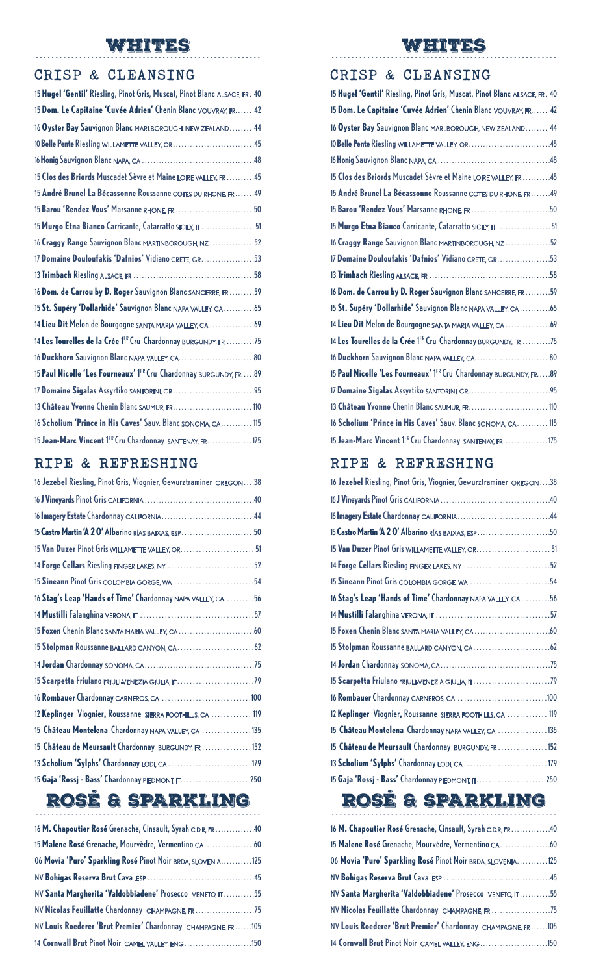# WHITES

#### CRISP & CLEANSING

| 15 Hugel 'Gentil' Riesling, Pinot Gris, Muscat, Pinot Blanc ALSACE, FR. 40 |  |
|----------------------------------------------------------------------------|--|
| 15 Dom. Le Capitaine 'Cuvée Adrien' Chenin Blanc VOUVRAY, FR.  42          |  |
| 16 Oyster Bay Sauvignon Blanc MARLBOROUGH, NEW ZEALAND 44                  |  |
| 10 Belle Pente Riesling WILLAMETTE VALLEY, OR45                            |  |
|                                                                            |  |
| 15 Clos des Briords Muscadet Sèvre et Maine LOIRE VALLEY, FR  45           |  |
| 15 André Brunel La Bécassonne Roussanne COTES DU RHONE, FR.  49            |  |
| 15 Barou 'Rendez Vous' Marsanne RHONE, FR 50                               |  |
| 15 Murgo Etna Bianco Carricante, Catarratto SICILY, IT  51                 |  |
| 16 Craggy Range Sauvignon Blanc MARTINBOROUGH, NZ52                        |  |
| 17 Domaine Douloufakis 'Dafnios' Vidiano CRETE, GR. 53                     |  |
|                                                                            |  |
| 16 Dom. de Carrou by D. Roger Sauvignon Blanc SANCERRE, FR.  59            |  |
| 15 St. Supéry 'Dollarhide' Sauvignon Blanc NAPA VALLEY, CA 65              |  |
| 14 Lieu Dit Melon de Bourgogne SANTA MARIA VALLEY, CA 69                   |  |
| 14 Les Tourelles de la Crée 1ER Cru Chardonnay BURGUNDY, FR 75             |  |
| 16 Duckhorn Sauvignon Blanc NAPA VALLEY, CA.  80                           |  |
| 15 Paul Nicolle 'Les Fourneaux' 1ER Cru Chardonnay BURGUNDY, FR.  89       |  |
|                                                                            |  |
| 13 Château Yvonne Chenin Blanc SAUMUR, FR.  110                            |  |
| 16 Scholium 'Prince in His Caves' Sauv. Blanc SONOMA, CA 115               |  |
| 15 Jean-Marc Vincent 1ER Cru Chardonnay SANTENAY, FR.  175                 |  |
|                                                                            |  |

### RIPE & REFRESHING

| 16 Jezebel Riesling, Pinot Gris, Viognier, Gewurztraminer OREGON38 |
|--------------------------------------------------------------------|
|                                                                    |
|                                                                    |
| 15 Castro Martin 'A 2 O' Albarino RIAS BAIXAS, ESP50               |
|                                                                    |
| 14 Forge Cellars Riesling FINGER LAKES, NY 52                      |
| 15 Sineann Pinot Gris COLOMBIA GORGE, WA 54                        |
| 16 Stag's Leap 'Hands of Time' Chardonnay NAPA VALLEY, CA. 56      |
|                                                                    |
|                                                                    |
|                                                                    |
|                                                                    |
| 15 Scarpetta Friulano FRIULI-VENEZIA GIULIA, IT79                  |
|                                                                    |
| 12 Keplinger Viognier, Roussanne SIERRA FOOTHILLS, CA  119         |
| 15 Château Montelena Chardonnay NAPA VALLEY, CA 135                |
| 15 Château de Meursault Chardonnay BURGUNDY, FR  152               |
| 13 Scholium 'Sylphs' Chardonnay LODI, CA 179                       |
| 15 Gaja 'Rossj - Bass' Chardonnay PIEDMONT, IT.  250               |

# ROSÉ & SPARKLING

| 16 M. Chapoutier Rosé Grenache, Cinsault, Syrah C.D.R, FR.  40 |  |
|----------------------------------------------------------------|--|
| 15 Malene Rosé Grenache, Mourvèdre, Vermentino CA. 60          |  |
| 06 Movia 'Puro' Sparkling Rosé Pinot Noir BRDA, SLOVENIA125    |  |
|                                                                |  |
| NV Santa Margherita 'Valdobbiadene' Prosecco VENETO, IT 55     |  |
| NV Nicolas Feuillatte Chardonnay CHAMPAGNE, FR                 |  |
| NV Louis Roederer 'Brut Premier' Chardonnay CHAMPAGNE, FR105   |  |
| 14 Cornwall Brut Pinot Noir CAMEL VALLEY, ENG150               |  |
|                                                                |  |

# WHITES

#### CRISP & CLEANSING

| 15 Hugel 'Gentil' Riesling, Pinot Gris, Muscat, Pinot Blanc ALSACE, FR. 40 |
|----------------------------------------------------------------------------|
| 15 Dom. Le Capitaine 'Cuvée Adrien' Chenin Blanc VOUVRAY, FR 42            |
| 16 Oyster Bay Sauvignon Blanc MARLBOROUGH, NEW ZEALAND 44                  |
| 10 Belle Pente Riesling WILLAMETTE VALLEY, OR45                            |
|                                                                            |
| 15 Clos des Briords Muscadet Sèvre et Maine LOIRE VALLEY, FR  45           |
| 15 André Brunel La Bécassonne Roussanne COTES DU RHONE, FR.  49            |
| 15 Barou 'Rendez Vous' Marsanne RHONE, FR 50                               |
| 15 Murgo Etna Bianco Carricante, Catarratto SICILY, IT  51                 |
| 16 Craggy Range Sauvignon Blanc MARTINBOROUGH, NZ52                        |
| 17 Domaine Douloufakis 'Dafnios' Vidiano CRETE, GR. 53                     |
|                                                                            |
| 16 Dom. de Carrou by D. Roger Sauvignon Blanc SANCERRE, FR.  59            |
| 15 St. Supéry 'Dollarhide' Sauvignon Blanc NAPA VALLEY, CA 65              |
| 14 Lieu Dit Melon de Bourgogne SANTA MARIA VALLEY, CA 69                   |
| 14 Les Tourelles de la Crée 1ER Cru Chardonnay BURGUNDY, FR 75             |
| 16 Duckhorn Sauvignon Blanc NAPA VALLEY, CA.  80                           |
| 15 Paul Nicolle 'Les Fourneaux' 1ER Cru Chardonnay BURGUNDY, FR.  . 89     |
|                                                                            |
| 13 Château Yvonne Chenin Blanc SAUMUR, FR.  110                            |
| 16 Scholium 'Prince in His Caves' Sauv. Blanc SONOMA, CA 115               |
| 15 Jean-Marc Vincent 1ER Cru Chardonnay SANTENAY, FR.  175                 |

### RIPE & REFRESHING

| 16 Jezebel Riesling, Pinot Gris, Viognier, Gewurztraminer OREGON38 |
|--------------------------------------------------------------------|
|                                                                    |
|                                                                    |
| 15 Castro Martin 'A 2 O' Albarino RIAS BAIXAS, ESP50               |
|                                                                    |
| 14 Forge Cellars Riesling FINGER LAKES, NY 52                      |
| 15 Sineann Pinot Gris COLOMBIA GORGE, WA 54                        |
| 16 Stag's Leap 'Hands of Time' Chardonnay NAPA VALLEY, CA. 56      |
|                                                                    |
|                                                                    |
|                                                                    |
|                                                                    |
| 15 Scarpetta Friulano FRIULI-VENEZIA GIULIA, IT79                  |
|                                                                    |
| 12 Keplinger Viognier, Roussanne SIERRA FOOTHILLS, CA  119         |
| 15 Château Montelena Chardonnay NAPA VALLEY, CA 135                |
| 15 Château de Meursault Chardonnay BURGUNDY, FR  152               |
| 13 Scholium 'Sylphs' Chardonnay LODI, CA179                        |
| 15 Gaja 'Rossj - Bass' Chardonnay PIEDMONT, IT.  250               |

#### ROSÉ & SPARKLING ---------------------------------------------------------

| 16 M. Chapoutier Rosé Grenache, Cinsault, Syrah C.D.R, FR. 40 |  |
|---------------------------------------------------------------|--|
|                                                               |  |
| 06 Movia 'Puro' Sparkling Rosé Pinot Noir BRDA, SLOVENIA125   |  |
|                                                               |  |
| NV Santa Margherita 'Valdobbiadene' Prosecco VENETO, IT55     |  |
| NV Nicolas Feuillatte Chardonnay CHAMPAGNE, FR 75             |  |
| NV Louis Roederer 'Brut Premier' Chardonnay CHAMPAGNE, FR105  |  |
| 14 Cornwall Brut Pinot Noir CAMEL VALLEY, ENG150              |  |